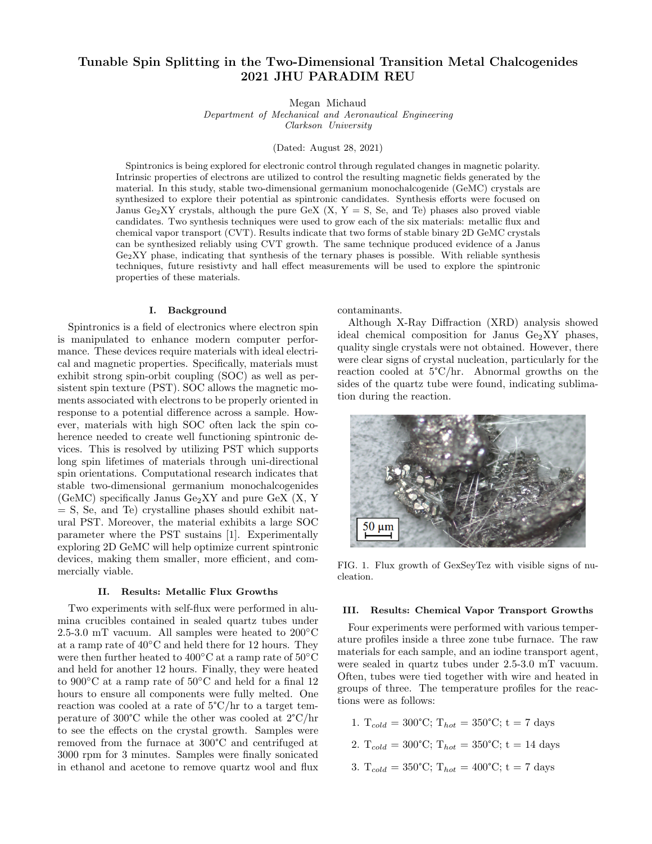# Tunable Spin Splitting in the Two-Dimensional Transition Metal Chalcogenides 2021 JHU PARADIM REU

Megan Michaud

Department of Mechanical and Aeronautical Engineering Clarkson University

(Dated: August 28, 2021)

Spintronics is being explored for electronic control through regulated changes in magnetic polarity. Intrinsic properties of electrons are utilized to control the resulting magnetic fields generated by the material. In this study, stable two-dimensional germanium monochalcogenide (GeMC) crystals are synthesized to explore their potential as spintronic candidates. Synthesis efforts were focused on Janus Ge<sub>2</sub>XY crystals, although the pure GeX  $(X, Y = S, S<sub>e</sub>, and Te)$  phases also proved viable candidates. Two synthesis techniques were used to grow each of the six materials: metallic flux and chemical vapor transport (CVT). Results indicate that two forms of stable binary 2D GeMC crystals can be synthesized reliably using CVT growth. The same technique produced evidence of a Janus  $Ge<sub>2</sub>XY$  phase, indicating that synthesis of the ternary phases is possible. With reliable synthesis techniques, future resistivty and hall effect measurements will be used to explore the spintronic properties of these materials.

### I. Background

Spintronics is a field of electronics where electron spin is manipulated to enhance modern computer performance. These devices require materials with ideal electrical and magnetic properties. Specifically, materials must exhibit strong spin-orbit coupling (SOC) as well as persistent spin texture (PST). SOC allows the magnetic moments associated with electrons to be properly oriented in response to a potential difference across a sample. However, materials with high SOC often lack the spin coherence needed to create well functioning spintronic devices. This is resolved by utilizing PST which supports long spin lifetimes of materials through uni-directional spin orientations. Computational research indicates that stable two-dimensional germanium monochalcogenides (GeMC) specifically Janus  $Ge<sub>2</sub>XY$  and pure GeX  $(X, Y)$ = S, Se, and Te) crystalline phases should exhibit natural PST. Moreover, the material exhibits a large SOC parameter where the PST sustains [1]. Experimentally exploring 2D GeMC will help optimize current spintronic devices, making them smaller, more efficient, and commercially viable.

#### II. Results: Metallic Flux Growths

Two experiments with self-flux were performed in alumina crucibles contained in sealed quartz tubes under 2.5-3.0 mT vacuum. All samples were heated to 200◦C at a ramp rate of 40◦C and held there for 12 hours. They were then further heated to 400◦C at a ramp rate of 50◦C and held for another 12 hours. Finally, they were heated to 900◦C at a ramp rate of 50◦C and held for a final 12 hours to ensure all components were fully melted. One reaction was cooled at a rate of 5°C/hr to a target temperature of 300°C while the other was cooled at 2°C/hr to see the effects on the crystal growth. Samples were removed from the furnace at 300°C and centrifuged at 3000 rpm for 3 minutes. Samples were finally sonicated in ethanol and acetone to remove quartz wool and flux

contaminants.

Although X-Ray Diffraction (XRD) analysis showed ideal chemical composition for Janus  $Ge<sub>2</sub>XY$  phases, quality single crystals were not obtained. However, there were clear signs of crystal nucleation, particularly for the reaction cooled at 5°C/hr. Abnormal growths on the sides of the quartz tube were found, indicating sublimation during the reaction.



FIG. 1. Flux growth of GexSeyTez with visible signs of nucleation.

### III. Results: Chemical Vapor Transport Growths

Four experiments were performed with various temperature profiles inside a three zone tube furnace. The raw materials for each sample, and an iodine transport agent, were sealed in quartz tubes under 2.5-3.0 mT vacuum. Often, tubes were tied together with wire and heated in groups of three. The temperature profiles for the reactions were as follows:

- 1.  $T_{cold} = 300^{\circ}\text{C}$ ;  $T_{hot} = 350^{\circ}\text{C}$ ;  $t = 7$  days
- 2.  $T_{cold} = 300^{\circ}\text{C}$ ;  $T_{hot} = 350^{\circ}\text{C}$ ;  $t = 14 \text{ days}$
- 3.  $T_{cold} = 350^{\circ}\text{C}$ ;  $T_{hot} = 400^{\circ}\text{C}$ ;  $t = 7$  days